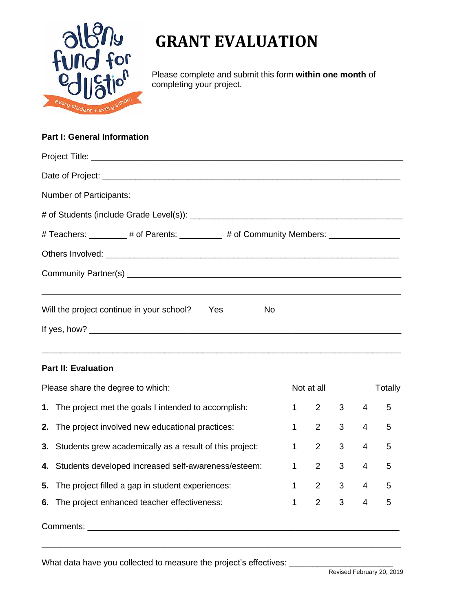

Please complete and submit this form **within one month** of completing your project.

## **Part I: General Information**

| <b>Number of Participants:</b>                                                    |                   |
|-----------------------------------------------------------------------------------|-------------------|
|                                                                                   |                   |
| # Teachers: _________ # of Parents: _________ # of Community Members: ___________ |                   |
|                                                                                   |                   |
|                                                                                   |                   |
|                                                                                   |                   |
| Will the project continue in your school?                                         | <b>Yes</b><br>No. |
| If yes, how? $\qquad \qquad$                                                      |                   |

\_\_\_\_\_\_\_\_\_\_\_\_\_\_\_\_\_\_\_\_\_\_\_\_\_\_\_\_\_\_\_\_\_\_\_\_\_\_\_\_\_\_\_\_\_\_\_\_\_\_\_\_\_\_\_\_\_\_\_\_\_\_\_\_\_\_\_\_\_\_\_\_\_\_\_\_

## **Part II: Evaluation**

| Please share the degree to which: |                                                            | Not at all |   | <b>Totally</b> |                |   |  |  |
|-----------------------------------|------------------------------------------------------------|------------|---|----------------|----------------|---|--|--|
|                                   | 1. The project met the goals I intended to accomplish:     | 1          | 2 | 3              | $\overline{4}$ | 5 |  |  |
|                                   | 2. The project involved new educational practices:         | 1          | 2 | 3              | $\overline{4}$ | 5 |  |  |
|                                   | 3. Students grew academically as a result of this project: | 1          | 2 | 3              | $\overline{4}$ | 5 |  |  |
|                                   | 4. Students developed increased self-awareness/esteem:     | 1          | 2 | 3              | 4              | 5 |  |  |
|                                   | 5. The project filled a gap in student experiences:        | 1          | 2 | 3              | $\overline{4}$ | 5 |  |  |
|                                   | 6. The project enhanced teacher effectiveness:             | 1          | 2 | 3              | $\overline{4}$ | 5 |  |  |
| Comments:                         |                                                            |            |   |                |                |   |  |  |

\_\_\_\_\_\_\_\_\_\_\_\_\_\_\_\_\_\_\_\_\_\_\_\_\_\_\_\_\_\_\_\_\_\_\_\_\_\_\_\_\_\_\_\_\_\_\_\_\_\_\_\_\_\_\_\_\_\_\_\_\_\_\_\_\_\_\_\_\_\_\_\_\_\_\_\_

What data have you collected to measure the project's effectives: